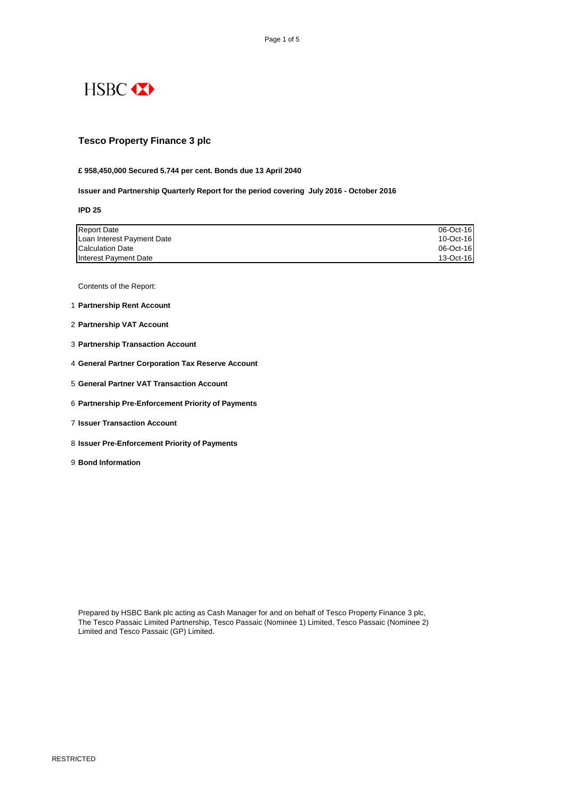

# **Tesco Property Finance 3 plc**

**£ 958,450,000 Secured 5.744 per cent. Bonds due 13 April 2040**

**Issuer and Partnership Quarterly Report for the period covering July 2016 - October 2016**

### **IPD 25**

| Report Date                | 06-Oct-16 |
|----------------------------|-----------|
| Loan Interest Payment Date | 10-Oct-16 |
| <b>Calculation Date</b>    | 06-Oct-16 |
| Interest Payment Date      | 13-Oct-16 |

Contents of the Report:

- 1 **Partnership Rent Account**
- 2 **Partnership VAT Account**
- 3 **Partnership Transaction Account**
- 4 **General Partner Corporation Tax Reserve Account**
- 5 **General Partner VAT Transaction Account**
- 6 **Partnership Pre-Enforcement Priority of Payments**
- 7 **Issuer Transaction Account**
- 8 **Issuer Pre-Enforcement Priority of Payments**
- 9 **Bond Information**

The Tesco Passaic Limited Partnership, Tesco Passaic (Nominee 1) Limited, Tesco Passaic (Nominee 2) Limited and Tesco Passaic (GP) Limited.

RESTRICTED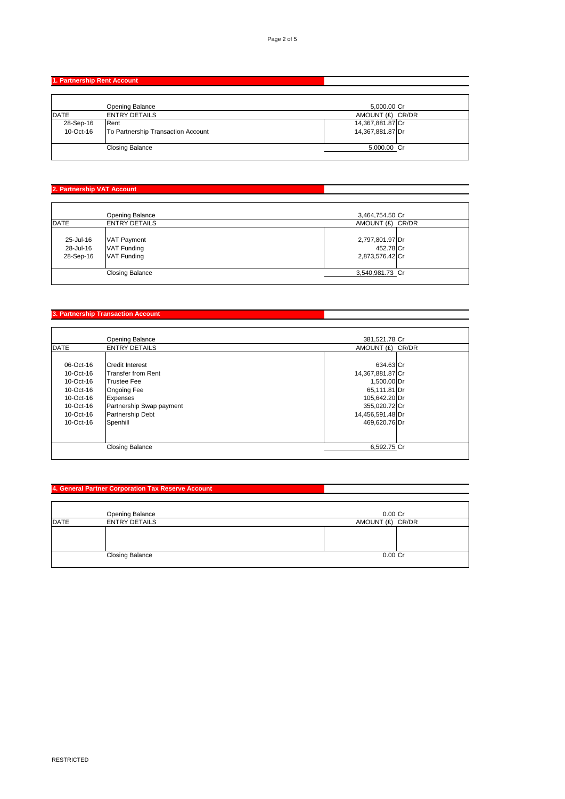# **1. Partnership Rent Account**

|           | <b>Opening Balance</b>             | 5,000.00 Cr      |
|-----------|------------------------------------|------------------|
| DATE      | <b>ENTRY DETAILS</b>               | AMOUNT (£) CR/DR |
| 28-Sep-16 | Rent                               | 14,367,881.87 Cr |
| 10-Oct-16 | To Partnership Transaction Account | 14,367,881.87 Dr |
|           |                                    |                  |
|           | <b>Closing Balance</b>             | 5,000.00 Cr      |
|           |                                    |                  |

# **2. Partnership VAT Account**

|                                     | <b>Opening Balance</b>                    | 3,464,754.50 Cr                                 |
|-------------------------------------|-------------------------------------------|-------------------------------------------------|
| DATE                                | <b>ENTRY DETAILS</b>                      | AMOUNT (£) CR/DR                                |
| 25-Jul-16<br>28-Jul-16<br>28-Sep-16 | VAT Payment<br>VAT Funding<br>VAT Funding | 2,797,801.97 Dr<br>452.78 Cr<br>2,873,576.42 Cr |
|                                     | <b>Closing Balance</b>                    | 3,540,981.73 Cr                                 |

### **3. Partnership Transaction Account**

|           | <b>Opening Balance</b>    | 381,521.78 Cr    |  |
|-----------|---------------------------|------------------|--|
| DATE      | <b>ENTRY DETAILS</b>      | AMOUNT (£) CR/DR |  |
|           |                           |                  |  |
| 06-Oct-16 | Credit Interest           | 634.63 Cr        |  |
| 10-Oct-16 | <b>Transfer from Rent</b> | 14,367,881.87 Cr |  |
| 10-Oct-16 | <b>Trustee Fee</b>        | 1,500.00 Dr      |  |
| 10-Oct-16 | <b>Ongoing Fee</b>        | 65,111.81 Dr     |  |
| 10-Oct-16 | <b>Expenses</b>           | 105,642.20 Dr    |  |
| 10-Oct-16 | Partnership Swap payment  | 355,020.72 Cr    |  |
| 10-Oct-16 | Partnership Debt          | 14,456,591.48 Dr |  |
| 10-Oct-16 | Spenhill                  | 469,620.76 Dr    |  |
|           |                           |                  |  |
|           |                           |                  |  |
|           | <b>Closing Balance</b>    | 6,592.75 Cr      |  |
|           |                           |                  |  |

# **4. General Partner Corporation Tax Reserve Account**

|      | <b>Opening Balance</b> | $0.00$ Cr        |
|------|------------------------|------------------|
| DATE | <b>ENTRY DETAILS</b>   | AMOUNT (£) CR/DR |
|      |                        |                  |
|      | <b>Closing Balance</b> | $0.00$ Cr        |

RESTRICTED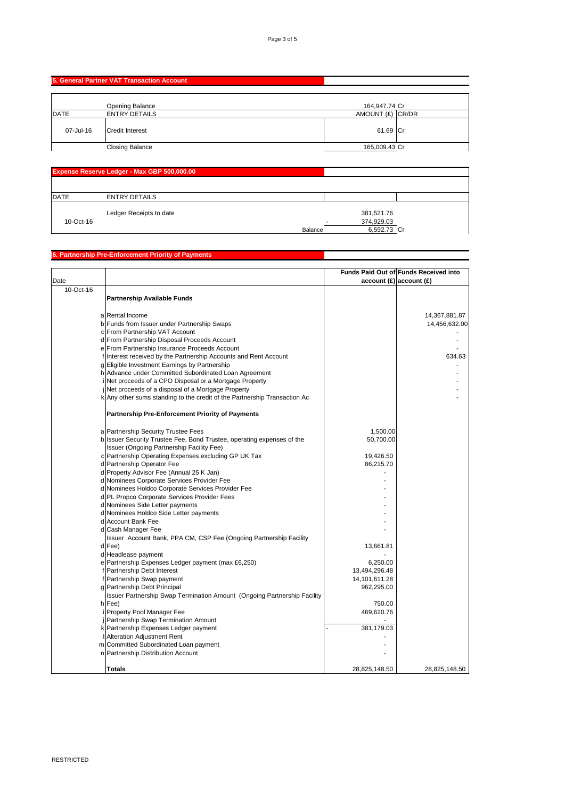### **5. General Partner VAT Transaction Account**

|           | <b>Opening Balance</b> | 164,947.74 Cr    |  |
|-----------|------------------------|------------------|--|
| DATE      | <b>ENTRY DETAILS</b>   | AMOUNT (£) CR/DR |  |
| 07-Jul-16 | <b>Credit Interest</b> | 61.69 Cr         |  |
|           | <b>Closing Balance</b> | 165,009.43 Cr    |  |

|           | <b>Expense Reserve Ledger - Max GBP 500,000.00</b> |                |             |  |
|-----------|----------------------------------------------------|----------------|-------------|--|
|           |                                                    |                |             |  |
| DATE      | <b>ENTRY DETAILS</b>                               |                |             |  |
|           | Ledger Receipts to date                            |                | 381,521.76  |  |
| 10-Oct-16 |                                                    |                | 374,929.03  |  |
|           |                                                    | <b>Balance</b> | 6,592.73 Cr |  |

# **6. Partnership Pre-Enforcement Priority of Payments**

| Date      |                                                                           |               | Funds Paid Out of Funds Received into<br>account(E) account(E) |
|-----------|---------------------------------------------------------------------------|---------------|----------------------------------------------------------------|
| 10-Oct-16 |                                                                           |               |                                                                |
|           | <b>Partnership Available Funds</b>                                        |               |                                                                |
|           | a Rental Income                                                           |               | 14,367,881.87                                                  |
|           | b Funds from Issuer under Partnership Swaps                               |               | 14,456,632.00                                                  |
|           | c From Partnership VAT Account                                            |               |                                                                |
|           | d From Partnership Disposal Proceeds Account                              |               |                                                                |
|           | e From Partnership Insurance Proceeds Account                             |               |                                                                |
|           | Interest received by the Partnership Accounts and Rent Account            |               | 634.63                                                         |
|           | g Eligible Investment Earnings by Partnership                             |               |                                                                |
|           | h Advance under Committed Subordinated Loan Agreement                     |               |                                                                |
|           | i Net proceeds of a CPO Disposal or a Mortgage Property                   |               |                                                                |
|           | jNet proceeds of a disposal of a Mortgage Property                        |               |                                                                |
|           | k Any other sums standing to the credit of the Partnership Transaction Ac |               |                                                                |
|           | <b>Partnership Pre-Enforcement Priority of Payments</b>                   |               |                                                                |
|           | a Partnership Security Trustee Fees                                       | 1,500.00      |                                                                |
|           | b Issuer Security Trustee Fee, Bond Trustee, operating expenses of the    | 50,700.00     |                                                                |
|           | <b>Issuer (Ongoing Partnership Facility Fee)</b>                          |               |                                                                |
|           | c   Partnership Operating Expenses excluding GP UK Tax                    | 19,426.50     |                                                                |
|           | d Partnership Operator Fee                                                | 86,215.70     |                                                                |
|           | d Property Advisor Fee (Annual 25 K Jan)                                  |               |                                                                |
|           | d Nominees Corporate Services Provider Fee                                |               |                                                                |
|           | d Nominees Holdco Corporate Services Provider Fee                         |               |                                                                |
|           | d PL Propco Corporate Services Provider Fees                              |               |                                                                |
|           | d Nominees Side Letter payments                                           |               |                                                                |
|           | d Nominees Holdco Side Letter payments                                    |               |                                                                |
|           | d Account Bank Fee                                                        |               |                                                                |
|           | d Cash Manager Fee                                                        |               |                                                                |
|           | Issuer Account Bank, PPA CM, CSP Fee (Ongoing Partnership Facility        |               |                                                                |
|           | $d$ Fee)                                                                  | 13,661.81     |                                                                |
|           | d Headlease payment                                                       |               |                                                                |
|           | e Partnership Expenses Ledger payment (max £6,250)                        | 6,250.00      |                                                                |
|           | f Partnership Debt Interest                                               | 13,494,296.48 |                                                                |
|           | f Partnership Swap payment                                                | 14,101,611.28 |                                                                |
|           | g Partnership Debt Principal                                              | 962,295.00    |                                                                |
|           | Issuer Partnership Swap Termination Amount (Ongoing Partnership Facility  |               |                                                                |
|           | $h$ <sup>Fee</sup> )                                                      | 750.00        |                                                                |
|           | i Property Pool Manager Fee                                               | 469,620.76    |                                                                |
|           | Partnership Swap Termination Amount                                       |               |                                                                |
|           | k Partnership Expenses Ledger payment                                     | 381,179.03    |                                                                |
|           | <b>I</b> Alteration Adjustment Rent                                       |               |                                                                |
|           | m Committed Subordinated Loan payment                                     |               |                                                                |
|           | n   Partnership Distribution Account                                      |               |                                                                |
|           | <b>Totals</b>                                                             | 28,825,148.50 | 28,825,148.50                                                  |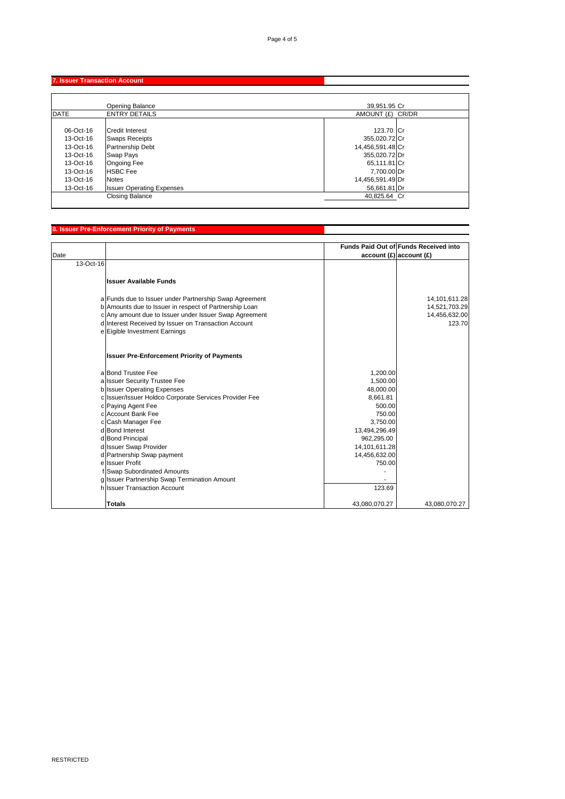### **7. Issuer Transaction Account**

|           | <b>Opening Balance</b>           | 39,951.95 Cr     |
|-----------|----------------------------------|------------------|
| DATE      | <b>ENTRY DETAILS</b>             | AMOUNT (£) CR/DR |
|           |                                  |                  |
| 06-Oct-16 | Credit Interest                  | 123.70 Cr        |
| 13-Oct-16 | <b>Swaps Receipts</b>            | 355,020.72 Cr    |
| 13-Oct-16 | <b>Partnership Debt</b>          | 14,456,591.48 Cr |
| 13-Oct-16 | Swap Pays                        | 355,020.72 Dr    |
| 13-Oct-16 | Ongoing Fee                      | 65,111.81 Cr     |
| 13-Oct-16 | <b>HSBC</b> Fee                  | 7,700.00 Dr      |
| 13-Oct-16 | <b>I</b> Notes                   | 14,456,591.49 Dr |
| 13-Oct-16 | <b>Issuer Operating Expenses</b> | 56,661.81 Dr     |
|           | <b>Closing Balance</b>           | 40,825.64 Cr     |

# **8. Issuer Pre-Enforcement Priority of Payments**

| Date      |                                                                                                                  |               | Funds Paid Out of Funds Received into<br>account(E) account(E) |
|-----------|------------------------------------------------------------------------------------------------------------------|---------------|----------------------------------------------------------------|
| 13-Oct-16 |                                                                                                                  |               |                                                                |
|           |                                                                                                                  |               |                                                                |
|           | <b>Issuer Available Funds</b>                                                                                    |               |                                                                |
|           |                                                                                                                  |               | 14, 101, 611. 28                                               |
|           | a Funds due to Issuer under Partnership Swap Agreement<br>b Amounts due to Issuer in respect of Partnership Loan |               | 14,521,703.29                                                  |
|           | c Any amount due to Issuer under Issuer Swap Agreement                                                           |               | 14,456,632.00                                                  |
|           | d Interest Received by Issuer on Transaction Account                                                             |               | 123.70                                                         |
|           | e Eigible Investment Earnings                                                                                    |               |                                                                |
|           | <b>Issuer Pre-Enforcement Priority of Payments</b>                                                               |               |                                                                |
|           | a Bond Trustee Fee                                                                                               | 1,200.00      |                                                                |
|           | a Issuer Security Trustee Fee                                                                                    | 1,500.00      |                                                                |
|           | b Issuer Operating Expenses                                                                                      | 48,000.00     |                                                                |
|           | c Issuer/Issuer Holdco Corporate Services Provider Fee                                                           | 8,661.81      |                                                                |
|           | c Paying Agent Fee                                                                                               | 500.00        |                                                                |
|           | c Account Bank Fee                                                                                               | 750.00        |                                                                |
|           | c Cash Manager Fee                                                                                               | 3,750.00      |                                                                |
|           | d Bond Interest                                                                                                  | 13,494,296.49 |                                                                |
|           | d Bond Principal                                                                                                 | 962,295.00    |                                                                |
|           | d Issuer Swap Provider                                                                                           | 14,101,611.28 |                                                                |
|           | d Partnership Swap payment                                                                                       | 14,456,632.00 |                                                                |
|           | ellssuer Profit                                                                                                  | 750.00        |                                                                |
|           | Swap Subordinated Amounts                                                                                        |               |                                                                |
|           | g Issuer Partnership Swap Termination Amount                                                                     |               |                                                                |
|           | hilssuer Transaction Account                                                                                     | 123.69        |                                                                |
|           | <b>Totals</b>                                                                                                    | 43,080,070.27 | 43,080,070.27                                                  |

RESTRICTED